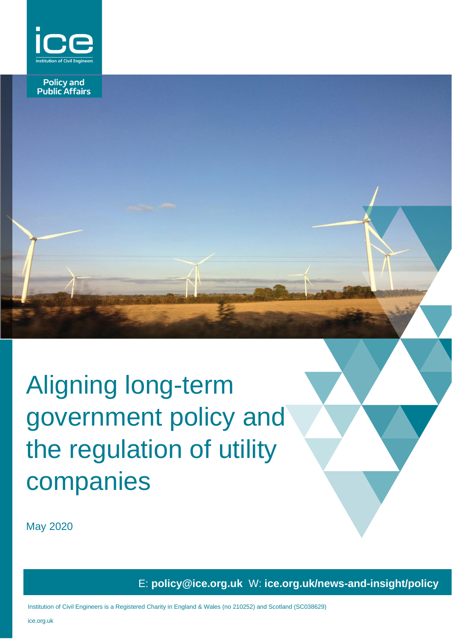

**Policy and<br>Public Affairs** 

# Aligning long-term government policy and the regulation of utility companies

May 2020

E: **policy@ice.org.uk** W: **ice.org.uk/news-and-insight/policy**

ice.org.uk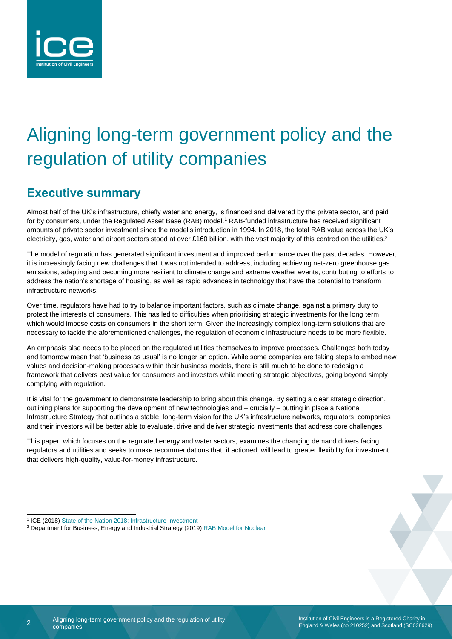

## Aligning long-term government policy and the regulation of utility companies

## **Executive summary**

Almost half of the UK's infrastructure, chiefly water and energy, is financed and delivered by the private sector, and paid for by consumers, under the Regulated Asset Base (RAB) model.<sup>1</sup> RAB-funded infrastructure has received significant amounts of private sector investment since the model's introduction in 1994. In 2018, the total RAB value across the UK's electricity, gas, water and airport sectors stood at over £160 billion, with the vast majority of this centred on the utilities.<sup>2</sup>

The model of regulation has generated significant investment and improved performance over the past decades. However, it is increasingly facing new challenges that it was not intended to address, including achieving net-zero greenhouse gas emissions, adapting and becoming more resilient to climate change and extreme weather events, contributing to efforts to address the nation's shortage of housing, as well as rapid advances in technology that have the potential to transform infrastructure networks.

Over time, regulators have had to try to balance important factors, such as climate change, against a primary duty to protect the interests of consumers. This has led to difficulties when prioritising strategic investments for the long term which would impose costs on consumers in the short term. Given the increasingly complex long-term solutions that are necessary to tackle the aforementioned challenges, the regulation of economic infrastructure needs to be more flexible.

An emphasis also needs to be placed on the regulated utilities themselves to improve processes. Challenges both today and tomorrow mean that 'business as usual' is no longer an option. While some companies are taking steps to embed new values and decision-making processes within their business models, there is still much to be done to redesign a framework that delivers best value for consumers and investors while meeting strategic objectives, going beyond simply complying with regulation.

It is vital for the government to demonstrate leadership to bring about this change. By setting a clear strategic direction, outlining plans for supporting the development of new technologies and – crucially – putting in place a National Infrastructure Strategy that outlines a stable, long-term vision for the UK's infrastructure networks, regulators, companies and their investors will be better able to evaluate, drive and deliver strategic investments that address core challenges.

This paper, which focuses on the regulated energy and water sectors, examines the changing demand drivers facing regulators and utilities and seeks to make recommendations that, if actioned, will lead to greater flexibility for investment that delivers high-quality, value-for-money infrastructure.

<sup>&</sup>lt;sup>1</sup> ICE (2018) State of the Nation [2018: Infrastructure Investment](https://www.ice.org.uk/getattachment/news-and-insight/policy/state-of-the-nation-2018-infrastructure-investment/ICE-SoN-Investment-2018.pdf.aspx#_ga=2.134150794.547844030.1583310455-1714938937.1528710932)

<sup>&</sup>lt;sup>2</sup> Department for Business, Energy and Industrial Strategy (2019) RAB [Model for Nuclear](https://assets.publishing.service.gov.uk/government/uploads/system/uploads/attachment_data/file/825119/rab-model-for-nuclear-consultation.pdf)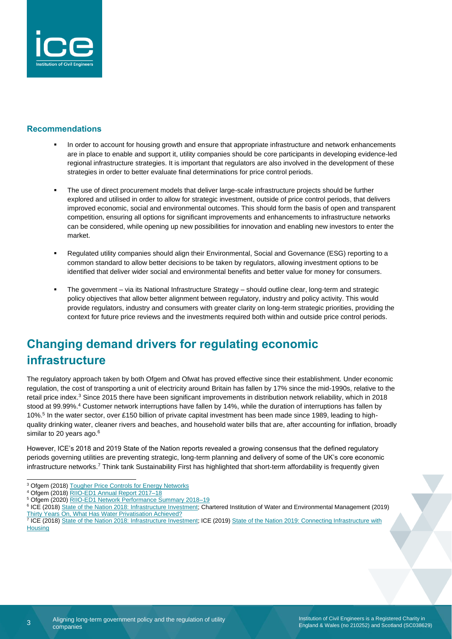

#### **Recommendations**

- In order to account for housing growth and ensure that appropriate infrastructure and network enhancements are in place to enable and support it, utility companies should be core participants in developing evidence-led regional infrastructure strategies. It is important that regulators are also involved in the development of these strategies in order to better evaluate final determinations for price control periods.
- The use of direct procurement models that deliver large-scale infrastructure projects should be further explored and utilised in order to allow for strategic investment, outside of price control periods, that delivers improved economic, social and environmental outcomes. This should form the basis of open and transparent competition, ensuring all options for significant improvements and enhancements to infrastructure networks can be considered, while opening up new possibilities for innovation and enabling new investors to enter the market.
- Regulated utility companies should align their Environmental, Social and Governance (ESG) reporting to a common standard to allow better decisions to be taken by regulators, allowing investment options to be identified that deliver wider social and environmental benefits and better value for money for consumers.
- The government via its National Infrastructure Strategy should outline clear, long-term and strategic policy objectives that allow better alignment between regulatory, industry and policy activity. This would provide regulators, industry and consumers with greater clarity on long-term strategic priorities, providing the context for future price reviews and the investments required both within and outside price control periods.

## **Changing demand drivers for regulating economic infrastructure**

The regulatory approach taken by both Ofgem and Ofwat has proved effective since their establishment. Under economic regulation, the cost of transporting a unit of electricity around Britain has fallen by 17% since the mid-1990s, relative to the retail price index.<sup>3</sup> Since 2015 there have been significant improvements in distribution network reliability, which in 2018 stood at 99.99%.<sup>4</sup> Customer network interruptions have fallen by 14%, while the duration of interruptions has fallen by 10%.<sup>5</sup> In the water sector, over £150 billion of private capital investment has been made since 1989, leading to highquality drinking water, cleaner rivers and beaches, and household water bills that are, after accounting for inflation, broadly similar to 20 years ago.<sup>6</sup>

However, ICE's 2018 and 2019 State of the Nation reports revealed a growing consensus that the defined regulatory periods governing utilities are preventing strategic, long-term planning and delivery of some of the UK's core economic infrastructure networks.<sup>7</sup> Think tank Sustainability First has highlighted that short-term affordability is frequently given

<sup>3</sup> Ofgem (2018) [Tougher Price Controls for Energy Networks](https://www.ofgem.gov.uk/news-blog/our-blog/tougher-price-controls-energy-networks)

<sup>4</sup> Ofgem (2018) [RIIO-ED1 Annual Report 2017–18](https://www.ofgem.gov.uk/system/files/docs/2019/03/riio-ed1_annual_report_2017-18.pdf)

<sup>&</sup>lt;sup>5</sup> Ofgem (2020) RIIO-ED1 Network Performance Summary 2018-19

<sup>&</sup>lt;sup>6</sup> ICE (2018[\) State of the Nation 2018: Infrastructure Investment;](https://www.ice.org.uk/getattachment/news-and-insight/policy/state-of-the-nation-2018-infrastructure-investment/ICE-SoN-Investment-2018.pdf.aspx#_ga=2.134150794.547844030.1583310455-1714938937.1528710932) Chartered Institution of Water and Environmental Management (2019) [Thirty Years On, What Has Water Privatisation Achieved?](https://www.ciwem.org/the-environment/how-should-water-and-environmental-management-firms-tap,-retain-and-promote-female-talent)

<sup>&</sup>lt;sup>7</sup> ICE (2018[\) State of the Nation 2018: Infrastructure Investment;](https://www.ice.org.uk/getattachment/news-and-insight/policy/state-of-the-nation-2018-infrastructure-investment/ICE-SoN-Investment-2018.pdf.aspx#_ga=2.134150794.547844030.1583310455-1714938937.1528710932) ICE (2019) State of the Nation 2019: Connecting Infrastructure with **[Housing](https://www.ice.org.uk/getattachment/news-and-insight/policy/state-of-the-nation-2019/ice-state-of-the-nation-2019.pdf.aspx#_ga=2.230094232.547844030.1583310455-1714938937.1528710932)**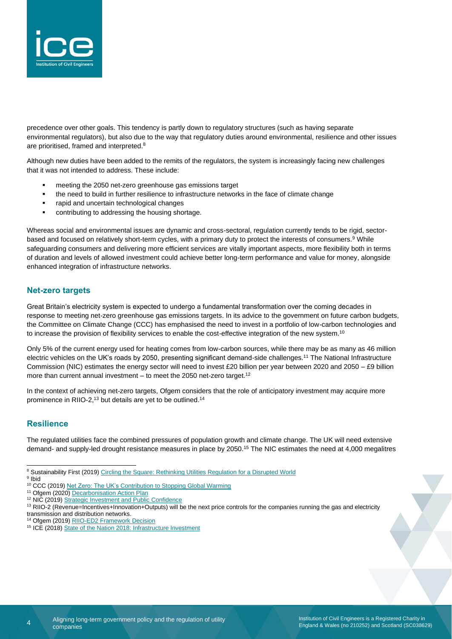

precedence over other goals. This tendency is partly down to regulatory structures (such as having separate environmental regulators), but also due to the way that regulatory duties around environmental, resilience and other issues are prioritised, framed and interpreted.<sup>8</sup>

Although new duties have been added to the remits of the regulators, the system is increasingly facing new challenges that it was not intended to address. These include:

- meeting the 2050 net-zero greenhouse gas emissions target
- the need to build in further resilience to infrastructure networks in the face of climate change
- rapid and uncertain technological changes
- contributing to addressing the housing shortage.

Whereas social and environmental issues are dynamic and cross-sectoral, regulation currently tends to be rigid, sectorbased and focused on relatively short-term cycles, with a primary duty to protect the interests of consumers.<sup>9</sup> While safeguarding consumers and delivering more efficient services are vitally important aspects, more flexibility both in terms of duration and levels of allowed investment could achieve better long-term performance and value for money, alongside enhanced integration of infrastructure networks.

#### **Net-zero targets**

Great Britain's electricity system is expected to undergo a fundamental transformation over the coming decades in response to meeting net-zero greenhouse gas emissions targets. In its advice to the government on future carbon budgets, the Committee on Climate Change (CCC) has emphasised the need to invest in a portfolio of low-carbon technologies and to increase the provision of flexibility services to enable the cost-effective integration of the new system.<sup>10</sup>

Only 5% of the current energy used for heating comes from low-carbon sources, while there may be as many as 46 million electric vehicles on the UK's roads by 2050, presenting significant demand-side challenges.<sup>11</sup> The National Infrastructure Commission (NIC) estimates the energy sector will need to invest £20 billion per year between 2020 and 2050 – £9 billion more than current annual investment  $-$  to meet the 2050 net-zero target.<sup>12</sup>

In the context of achieving net-zero targets, Ofgem considers that the role of anticipatory investment may acquire more prominence in RIIO-2,<sup>13</sup> but details are yet to be outlined.<sup>14</sup>

#### **Resilience**

The regulated utilities face the combined pressures of population growth and climate change. The UK will need extensive demand- and supply-led drought resistance measures in place by 2050.<sup>15</sup> The NIC estimates the need at 4,000 megalitres

<sup>11</sup> Ofgem (2020) [Decarbonisation Action Plan](https://www.ofgem.gov.uk/system/files/docs/2020/02/ofg1190_decarbonisation_action_plan_web_0.pdf)

<sup>14</sup> Ofgem (2019) [RIIO-ED2 Framework Decision](https://www.ofgem.gov.uk/system/files/docs/2019/12/riio-ed2_framework_decision_dec_2019.pdf)

<sup>&</sup>lt;sup>8</sup> Sustainability First (2019) Circling the Square: Rethinking Utilities Regulation for a Disrupted World

<sup>&</sup>lt;sup>9</sup> Ibid

<sup>10</sup> CCC (2019) [Net Zero: The UK's Contribution to Stopping Global Warming](https://www.theccc.org.uk/wp-content/uploads/2019/05/Net-Zero-The-UKs-contribution-to-stopping-global-warming.pdf)

<sup>&</sup>lt;sup>12</sup> NIC (2019[\) Strategic Investment and Public Confidence](https://www.nic.org.uk/wp-content/uploads/NIC-Strategic-Investment-Public-Confidence-October-2019.pdf)

<sup>&</sup>lt;sup>13</sup> RIIO-2 (Revenue=Incentives+Innovation+Outputs) will be the next price controls for the companies running the gas and electricity transmission and distribution networks.

<sup>&</sup>lt;sup>15</sup> ICE (2018[\) State of the Nation 2018: Infrastructure Investment](https://www.ice.org.uk/getattachment/news-and-insight/policy/state-of-the-nation-2018-infrastructure-investment/ICE-SoN-Investment-2018.pdf.aspx#_ga=2.134150794.547844030.1583310455-1714938937.1528710932)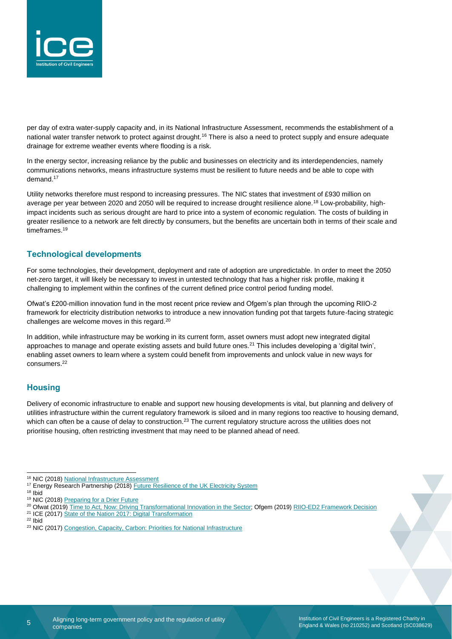

per day of extra water-supply capacity and, in its National Infrastructure Assessment, recommends the establishment of a national water transfer network to protect against drought.<sup>16</sup> There is also a need to protect supply and ensure adequate drainage for extreme weather events where flooding is a risk.

In the energy sector, increasing reliance by the public and businesses on electricity and its interdependencies, namely communications networks, means infrastructure systems must be resilient to future needs and be able to cope with demand.<sup>17</sup>

Utility networks therefore must respond to increasing pressures. The NIC states that investment of £930 million on average per year between 2020 and 2050 will be required to increase drought resilience alone.<sup>18</sup> Low-probability, highimpact incidents such as serious drought are hard to price into a system of economic regulation. The costs of building in greater resilience to a network are felt directly by consumers, but the benefits are uncertain both in terms of their scale and timeframes.<sup>19</sup>

#### **Technological developments**

For some technologies, their development, deployment and rate of adoption are unpredictable. In order to meet the 2050 net-zero target, it will likely be necessary to invest in untested technology that has a higher risk profile, making it challenging to implement within the confines of the current defined price control period funding model.

Ofwat's £200-million innovation fund in the most recent price review and Ofgem's plan through the upcoming RIIO-2 framework for electricity distribution networks to introduce a new innovation funding pot that targets future-facing strategic challenges are welcome moves in this regard.<sup>20</sup>

In addition, while infrastructure may be working in its current form, asset owners must adopt new integrated digital approaches to manage and operate existing assets and build future ones.<sup>21</sup> This includes developing a 'digital twin', enabling asset owners to learn where a system could benefit from improvements and unlock value in new ways for consumers.<sup>22</sup>

#### **Housing**

Delivery of economic infrastructure to enable and support new housing developments is vital, but planning and delivery of utilities infrastructure within the current regulatory framework is siloed and in many regions too reactive to housing demand, which can often be a cause of delay to construction.<sup>23</sup> The current regulatory structure across the utilities does not prioritise housing, often restricting investment that may need to be planned ahead of need.

- <sup>20</sup> Ofwat (2019[\) Time to Act, Now: Driving Transformational Innovation in the Sector;](https://www.ofwat.gov.uk/wp-content/uploads/2019/12/Time-to-act-now-driving-transformational-innovation-in-the-sector-decision-document.pdf) Ofgem (2019[\) RIIO-ED2 Framework Decision](https://www.ofgem.gov.uk/system/files/docs/2019/12/riio-ed2_framework_decision_dec_2019.pdf)
- <sup>21</sup> ICE (2017[\) State of the Nation 2017: Digital Transformation](https://www.ice.org.uk/getattachment/news-and-insight/policy/state-of-the-nation-2017-digital-transformation/ICE-SoN-Report-Web-Updated.pdf.aspx#_ga=2.21287992.267275737.1583917576-1714938937.1528710932)

<sup>&</sup>lt;sup>16</sup> NIC (2018[\) National Infrastructure Assessment](https://www.nic.org.uk/wp-content/uploads/CCS001_CCS0618917350-001_NIC-NIA_Accessible.pdf)

<sup>&</sup>lt;sup>17</sup> Energy Research Partnership (2018) [Future Resilience of the UK Electricity System](https://erpuk.org/wp-content/uploads/2018/11/4285_resilience_report_final.pdf)

<sup>18</sup> Ibid

<sup>&</sup>lt;sup>19</sup> NIC (2018[\) Preparing for a Drier Future](https://www.nic.org.uk/wp-content/uploads/NIC-Preparing-for-a-Drier-Future-26-April-2018.pdf)

 $22$  Ibid

<sup>&</sup>lt;sup>23</sup> NIC (2017[\) Congestion, Capacity, Carbon: Priorities for National Infrastructure](https://www.nic.org.uk/wp-content/uploads/Congestion-Capacity-Carbon_-Priorities-for-national-infrastructure.pdf)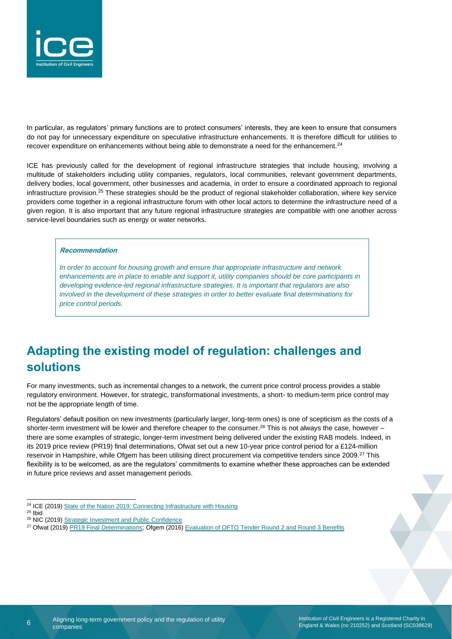

In particular, as regulators' primary functions are to protect consumers' interests, they are keen to ensure that consumers do not pay for unnecessary expenditure on speculative infrastructure enhancements. It is therefore difficult for utilities to recover expenditure on enhancements without being able to demonstrate a need for the enhancement.<sup>24</sup>

ICE has previously called for the development of regional infrastructure strategies that include housing, involving a multitude of stakeholders including utility companies, regulators, local communities, relevant government departments, delivery bodies, local government, other businesses and academia, in order to ensure a coordinated approach to regional infrastructure provision.<sup>25</sup> These strategies should be the product of regional stakeholder collaboration, where key service providers come together in a regional infrastructure forum with other local actors to determine the infrastructure need of a given region. It is also important that any future regional infrastructure strategies are compatible with one another across service-level boundaries such as energy or water networks.

#### **Recommendation**

*In order to account for housing growth and ensure that appropriate infrastructure and network*  enhancements are in place to enable and support it, utility companies should be core participants in *developing evidence-led regional infrastructure strategies. It is important that regulators are also involved in the development of these strategies in order to better evaluate final determinations for price control periods.*

## **Adapting the existing model of regulation: challenges and solutions**

For many investments, such as incremental changes to a network, the current price control process provides a stable regulatory environment. However, for strategic, transformational investments, a short- to medium-term price control may not be the appropriate length of time.

Regulators' default position on new investments (particularly larger, long-term ones) is one of scepticism as the costs of a shorter-term investment will be lower and therefore cheaper to the consumer.<sup>26</sup> This is not always the case, however – there are some examples of strategic, longer-term investment being delivered under the existing RAB models. Indeed, in its 2019 price review (PR19) final determinations, Ofwat set out a new 10-year price control period for a £124-million reservoir in Hampshire, while Ofgem has been utilising direct procurement via competitive tenders since 2009.<sup>27</sup> This flexibility is to be welcomed, as are the regulators' commitments to examine whether these approaches can be extended in future price reviews and asset management periods.

<sup>24</sup> ICE (2019[\) State of the Nation 2019: Connecting Infrastructure with Housing](https://www.ice.org.uk/getattachment/news-and-insight/policy/state-of-the-nation-2019/ice-state-of-the-nation-2019.pdf.aspx#_ga=2.230094232.547844030.1583310455-1714938937.1528710932)

<sup>25</sup> Ibid

<sup>26</sup> NIC (2019[\) Strategic Investment and Public Confidence](https://www.nic.org.uk/wp-content/uploads/NIC-Strategic-Investment-Public-Confidence-October-2019.pdf)

<sup>&</sup>lt;sup>27</sup> Ofwat (2019[\) PR19 Final Determinations](https://www.ofwat.gov.uk/wp-content/uploads/2019/12/PR19-final-determinations-Overview-of-final-determinations.pdf); Ofgem (2016) [Evaluation of OFTO Tender Round 2 and Round 3 Benefits](https://www.ofgem.gov.uk/system/files/docs/2016/03/ofgem_tr2_tr3_evaluation_final_report.pdf)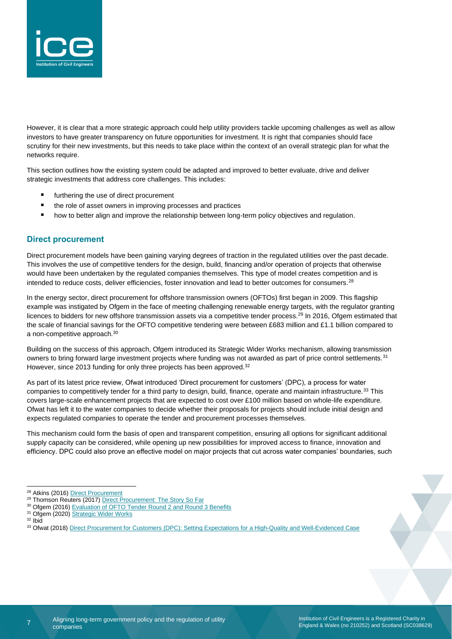

However, it is clear that a more strategic approach could help utility providers tackle upcoming challenges as well as allow investors to have greater transparency on future opportunities for investment. It is right that companies should face scrutiny for their new investments, but this needs to take place within the context of an overall strategic plan for what the networks require.

This section outlines how the existing system could be adapted and improved to better evaluate, drive and deliver strategic investments that address core challenges. This includes:

- furthering the use of direct procurement
- the role of asset owners in improving processes and practices
- how to better align and improve the relationship between long-term policy objectives and regulation.

#### **Direct procurement**

Direct procurement models have been gaining varying degrees of traction in the regulated utilities over the past decade. This involves the use of competitive tenders for the design, build, financing and/or operation of projects that otherwise would have been undertaken by the regulated companies themselves. This type of model creates competition and is intended to reduce costs, deliver efficiencies, foster innovation and lead to better outcomes for consumers.<sup>28</sup>

In the energy sector, direct procurement for offshore transmission owners (OFTOs) first began in 2009. This flagship example was instigated by Ofgem in the face of meeting challenging renewable energy targets, with the regulator granting licences to bidders for new offshore transmission assets via a competitive tender process.<sup>29</sup> In 2016, Ofgem estimated that the scale of financial savings for the OFTO competitive tendering were between £683 million and £1.1 billion compared to a non-competitive approach.<sup>30</sup>

Building on the success of this approach, Ofgem introduced its Strategic Wider Works mechanism, allowing transmission owners to bring forward large investment projects where funding was not awarded as part of price control settlements.<sup>31</sup> However, since 2013 funding for only three projects has been approved.<sup>32</sup>

As part of its latest price review, Ofwat introduced 'Direct procurement for customers' (DPC), a process for water companies to competitively tender for a third party to design, build, finance, operate and maintain infrastructure.<sup>33</sup> This covers large-scale enhancement projects that are expected to cost over £100 million based on whole-life expenditure. Ofwat has left it to the water companies to decide whether their proposals for projects should include initial design and expects regulated companies to operate the tender and procurement processes themselves.

This mechanism could form the basis of open and transparent competition, ensuring all options for significant additional supply capacity can be considered, while opening up new possibilities for improved access to finance, innovation and efficiency. DPC could also prove an effective model on major projects that cut across water companies' boundaries, such

<sup>31</sup> Ofgem (2020) [Strategic Wider Works](https://www.ofgem.gov.uk/electricity/transmission-networks/critical-investments/strategic-wider-works)

<sup>&</sup>lt;sup>28</sup> Atkins (2016[\) Direct Procurement](https://www.atkinsglobal.com/~/media/Files/A/Atkins-Corporate/uk-and-europe/sectors-documents/water/Direct%20procurement_final_version2.pdf)

<sup>&</sup>lt;sup>29</sup> Thomson Reuters (2017[\) Direct Procurement: The Story So Far](http://constructionblog.practicallaw.com/direct-procurement-the-story-so-far/)

<sup>&</sup>lt;sup>30</sup> Ofgem (2016) [Evaluation of OFTO Tender Round 2 and Round 3 Benefits](https://www.ofgem.gov.uk/system/files/docs/2016/03/ofgem_tr2_tr3_evaluation_final_report.pdf)

<sup>32</sup> Ibid

<sup>33</sup> Ofwat (2018[\) Direct Procurement for Customers \(DPC\): Setting Expectations for a High-Quality and Well-Evidenced Case](https://www.ofwat.gov.uk/wp-content/uploads/2018/06/IN-1810-Direct-procurement-for-customers-DPC-setting-expectations-for-a-high-quality-and-well-evidenced-case.pdf)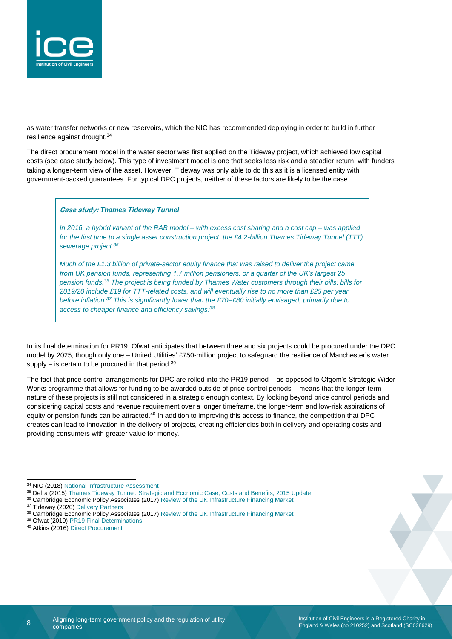

as water transfer networks or new reservoirs, which the NIC has recommended deploying in order to build in further resilience against drought.<sup>34</sup>

The direct procurement model in the water sector was first applied on the Tideway project, which achieved low capital costs (see case study below). This type of investment model is one that seeks less risk and a steadier return, with funders taking a longer-term view of the asset. However, Tideway was only able to do this as it is a licensed entity with government-backed guarantees. For typical DPC projects, neither of these factors are likely to be the case.

**Case study:** *Thames Tideway Tunnel*

*In 2016, a hybrid variant of the RAB model – with excess cost sharing and a cost cap – was applied for the first time to a single asset construction project: the £4.2-billion Thames Tideway Tunnel (TTT) sewerage project.<sup>35</sup>*

*Much of the £1.3 billion of private-sector equity finance that was raised to deliver the project came from UK pension funds, representing 1.7 million pensioners, or a quarter of the UK's largest 25 pension funds.<sup>36</sup> The project is being funded by Thames Water customers through their bills; bills for 2019/20 include £19 for TTT-related costs, and will eventually rise to no more than £25 per year before inflation.<sup>37</sup> This is significantly lower than the £70–£80 initially envisaged, primarily due to access to cheaper finance and efficiency savings.<sup>38</sup>*

In its final determination for PR19, Ofwat anticipates that between three and six projects could be procured under the DPC model by 2025, though only one – United Utilities' £750-million project to safeguard the resilience of Manchester's water supply  $-$  is certain to be procured in that period.<sup>39</sup>

The fact that price control arrangements for DPC are rolled into the PR19 period – as opposed to Ofgem's Strategic Wider Works programme that allows for funding to be awarded outside of price control periods – means that the longer-term nature of these projects is still not considered in a strategic enough context. By looking beyond price control periods and considering capital costs and revenue requirement over a longer timeframe, the longer-term and low-risk aspirations of equity or pension funds can be attracted.<sup>40</sup> In addition to improving this access to finance, the competition that DPC creates can lead to innovation in the delivery of projects, creating efficiencies both in delivery and operating costs and providing consumers with greater value for money.

- 36 Cambridge Economic Policy Associates (2017) [Review of the UK Infrastructure Financing Market](https://www.nic.org.uk/wp-content/uploads/Review-of-infrastructure-financing-market.pdf)
- <sup>37</sup> Tideway (2020[\) Delivery Partners](https://www.tideway.london/about-us/our-delivery-partners/)

<sup>40</sup> Atkins (2016[\) Direct Procurement](https://www.atkinsglobal.com/~/media/Files/A/Atkins-Corporate/uk-and-europe/sectors-documents/water/Direct%20procurement_final_version2.pdf)

8

<sup>34</sup> NIC (2018[\) National Infrastructure Assessment](https://www.nic.org.uk/wp-content/uploads/CCS001_CCS0618917350-001_NIC-NIA_Accessible.pdf)

<sup>&</sup>lt;sup>35</sup> Defra (2015[\) Thames Tideway Tunnel: Strategic and Economic Case, Costs and Benefits, 2015 Update](https://www.gov.uk/government/publications/thames-tideway-tunnel-strategic-and-economic-case-costs-and-benefits-2015-update)

<sup>&</sup>lt;sup>38</sup> Cambridge Economic Policy Associates (2017) [Review of the UK Infrastructure Financing Market](https://www.nic.org.uk/wp-content/uploads/Review-of-infrastructure-financing-market.pdf)

<sup>&</sup>lt;sup>39</sup> Ofwat (2019[\) PR19 Final Determinations](https://www.ofwat.gov.uk/wp-content/uploads/2019/12/PR19-final-determinations-Overview-of-final-determinations.pdf)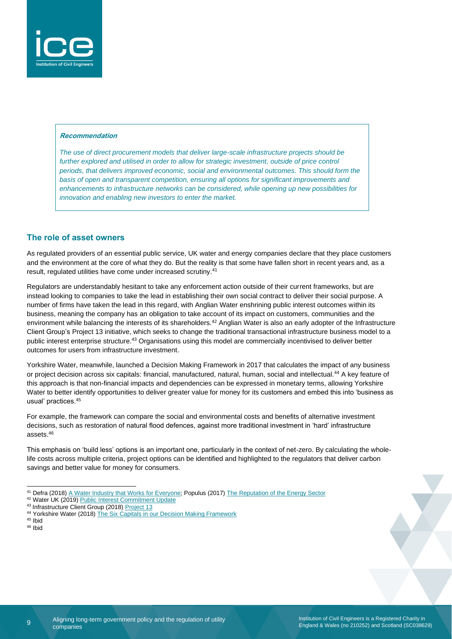

#### **Recommendation**

*The use of direct procurement models that deliver large-scale infrastructure projects should be further explored and utilised in order to allow for strategic investment, outside of price control periods, that delivers improved economic, social and environmental outcomes. This should form the basis of open and transparent competition, ensuring all options for significant improvements and enhancements to infrastructure networks can be considered, while opening up new possibilities for innovation and enabling new investors to enter the market.*

#### **The role of asset owners**

As regulated providers of an essential public service, UK water and energy companies declare that they place customers and the environment at the core of what they do. But the reality is that some have fallen short in recent years and, as a result, regulated utilities have come under increased scrutiny.<sup>41</sup>

Regulators are understandably hesitant to take any enforcement action outside of their current frameworks, but are instead looking to companies to take the lead in establishing their own social contract to deliver their social purpose. A number of firms have taken the lead in this regard, with Anglian Water enshrining public interest outcomes within its business, meaning the company has an obligation to take account of its impact on customers, communities and the environment while balancing the interests of its shareholders.<sup>42</sup> Anglian Water is also an early adopter of the Infrastructure Client Group's Project 13 initiative, which seeks to change the traditional transactional infrastructure business model to a public interest enterprise structure.<sup>43</sup> Organisations using this model are commercially incentivised to deliver better outcomes for users from infrastructure investment.

Yorkshire Water, meanwhile, launched a Decision Making Framework in 2017 that calculates the impact of any business or project decision across six capitals: financial, manufactured, natural, human, social and intellectual.<sup>44</sup> A key feature of this approach is that non-financial impacts and dependencies can be expressed in monetary terms, allowing Yorkshire Water to better identify opportunities to deliver greater value for money for its customers and embed this into 'business as usual' practices.<sup>45</sup>

For example, the framework can compare the social and environmental costs and benefits of alternative investment decisions, such as restoration of natural flood defences, against more traditional investment in 'hard' infrastructure assets.<sup>46</sup>

This emphasis on 'build less' options is an important one, particularly in the context of net-zero. By calculating the wholelife costs across multiple criteria, project options can be identified and highlighted to the regulators that deliver carbon savings and better value for money for consumers.

- 42 Water UK (2019[\) Public Interest Commitment Update](https://www.water.org.uk/wp-content/uploads/2019/10/Water-UK-Public-Interest-Commitment-update-October-2019.pdf)
- 43 Infrastructure Client Group (2018) [Project 13](https://www.p13.org.uk/about-project-13/)

<sup>45</sup> Ibid <sup>46</sup> Ibid

> Aligning long-term government policy and the regulation of utility companies

<sup>41</sup> Defra (2018[\) A Water Industry that Works for Everyone;](https://www.gov.uk/government/speeches/a-water-industry-that-works-for-everyone) Populus (2017) [The Reputation of the Energy Sector](https://www.populus.co.uk/wp-content/uploads/2017/07/The-reputation-of-the-energy-sector-with-suppliers-min.pdf)

<sup>44</sup> Yorkshire Water (2018) [The Six Capitals in our Decision Making Framework](https://www.yorkshirewater.com/media/1766/yorkshire_water_dmf_website_case_study.pdf)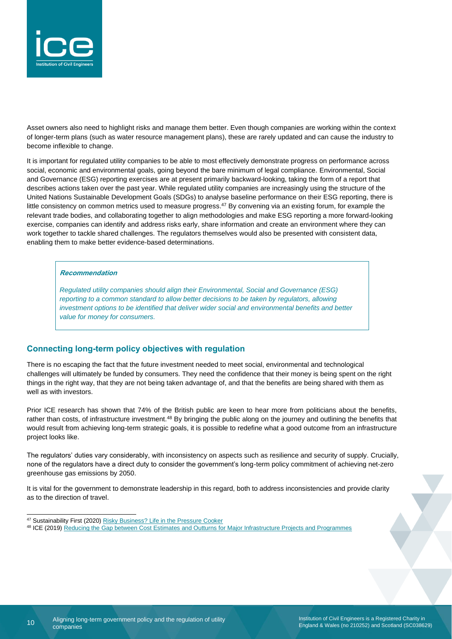

Asset owners also need to highlight risks and manage them better. Even though companies are working within the context of longer-term plans (such as water resource management plans), these are rarely updated and can cause the industry to become inflexible to change.

It is important for regulated utility companies to be able to most effectively demonstrate progress on performance across social, economic and environmental goals, going beyond the bare minimum of legal compliance. Environmental, Social and Governance (ESG) reporting exercises are at present primarily backward-looking, taking the form of a report that describes actions taken over the past year. While regulated utility companies are increasingly using the structure of the United Nations Sustainable Development Goals (SDGs) to analyse baseline performance on their ESG reporting, there is little consistency on common metrics used to measure progress.<sup>47</sup> By convening via an existing forum, for example the relevant trade bodies, and collaborating together to align methodologies and make ESG reporting a more forward-looking exercise, companies can identify and address risks early, share information and create an environment where they can work together to tackle shared challenges. The regulators themselves would also be presented with consistent data, enabling them to make better evidence-based determinations.

#### **Recommendation**

*Regulated utility companies should align their Environmental, Social and Governance (ESG) reporting to a common standard to allow better decisions to be taken by regulators, allowing investment options to be identified that deliver wider social and environmental benefits and better value for money for consumers.*

#### **Connecting long-term policy objectives with regulation**

There is no escaping the fact that the future investment needed to meet social, environmental and technological challenges will ultimately be funded by consumers. They need the confidence that their money is being spent on the right things in the right way, that they are not being taken advantage of, and that the benefits are being shared with them as well as with investors.

Prior ICE research has shown that 74% of the British public are keen to hear more from politicians about the benefits, rather than costs, of infrastructure investment.<sup>48</sup> By bringing the public along on the journey and outlining the benefits that would result from achieving long-term strategic goals, it is possible to redefine what a good outcome from an infrastructure project looks like.

The regulators' duties vary considerably, with inconsistency on aspects such as resilience and security of supply. Crucially, none of the regulators have a direct duty to consider the government's long-term policy commitment of achieving net-zero greenhouse gas emissions by 2050.

It is vital for the government to demonstrate leadership in this regard, both to address inconsistencies and provide clarity as to the direction of travel.

<sup>47</sup> Sustainability First (2020[\) Risky Business? Life in the Pressure Cooker](https://www.sustainabilityfirst.org.uk/images/publications/fair_for_the_future/Risk_in_the_Current_World_Final_130220.pdf)

<sup>48</sup> ICE (2019) [Reducing the Gap between Cost Estimates and Outturns for Major Infrastructure Projects and Programmes](https://www.ice.org.uk/getattachment/news-and-insight/policy/gap-between-estimates-and-outturns/ICE-Report-Reducing-the-gap-between-cost-estimates-and-outturns-for-major-infrastructure-projects-and-programmes.pdf.aspx#_ga=2.168875557.547844030.1583310455-1714938937.1528710932)